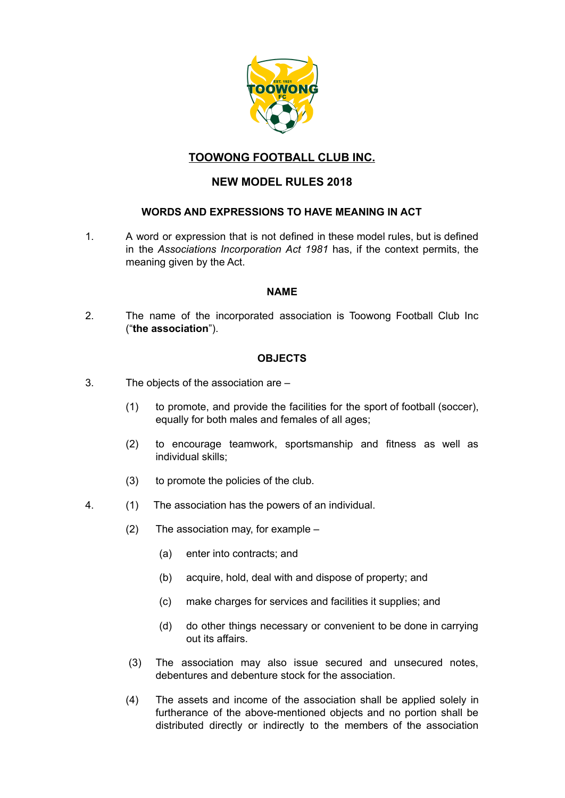

# **TOOWONG FOOTBALL CLUB INC.**

# **NEW MODEL RULES 2018**

## **WORDS AND EXPRESSIONS TO HAVE MEANING IN ACT**

1. A word or expression that is not defined in these model rules, but is defined in the *Associations Incorporation Act 1981* has, if the context permits, the meaning given by the Act.

## **NAME**

2. The name of the incorporated association is Toowong Football Club Inc ("**the association**").

## **OBJECTS**

- 3. The objects of the association are
	- (1) to promote, and provide the facilities for the sport of football (soccer), equally for both males and females of all ages;
	- (2) to encourage teamwork, sportsmanship and fitness as well as individual skills;
	- (3) to promote the policies of the club.
- 4. (1) The association has the powers of an individual.
	- (2) The association may, for example
		- (a) enter into contracts; and
		- (b) acquire, hold, deal with and dispose of property; and
		- (c) make charges for services and facilities it supplies; and
		- (d) do other things necessary or convenient to be done in carrying out its affairs.
	- (3) The association may also issue secured and unsecured notes, debentures and debenture stock for the association.
	- (4) The assets and income of the association shall be applied solely in furtherance of the above-mentioned objects and no portion shall be distributed directly or indirectly to the members of the association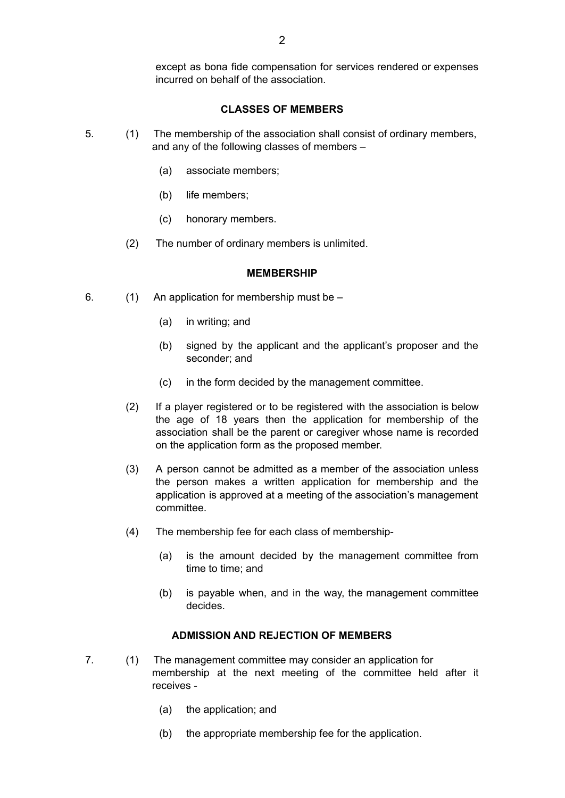except as bona fide compensation for services rendered or expenses incurred on behalf of the association.

## **CLASSES OF MEMBERS**

- 5. (1) The membership of the association shall consist of ordinary members, and any of the following classes of members –
	- (a) associate members;
	- (b) life members;
	- (c) honorary members.
	- (2) The number of ordinary members is unlimited.

#### **MEMBERSHIP**

- 6. (1) An application for membership must be
	- (a) in writing; and
	- (b) signed by the applicant and the applicant's proposer and the seconder; and
	- (c) in the form decided by the management committee.
	- (2) If a player registered or to be registered with the association is below the age of 18 years then the application for membership of the association shall be the parent or caregiver whose name is recorded on the application form as the proposed member.
	- (3) A person cannot be admitted as a member of the association unless the person makes a written application for membership and the application is approved at a meeting of the association's management committee.
	- (4) The membership fee for each class of membership-
		- (a) is the amount decided by the management committee from time to time; and
		- (b) is payable when, and in the way, the management committee decides.

#### **ADMISSION AND REJECTION OF MEMBERS**

- 7. (1) The management committee may consider an application for membership at the next meeting of the committee held after it receives -
	- (a) the application; and
	- (b) the appropriate membership fee for the application.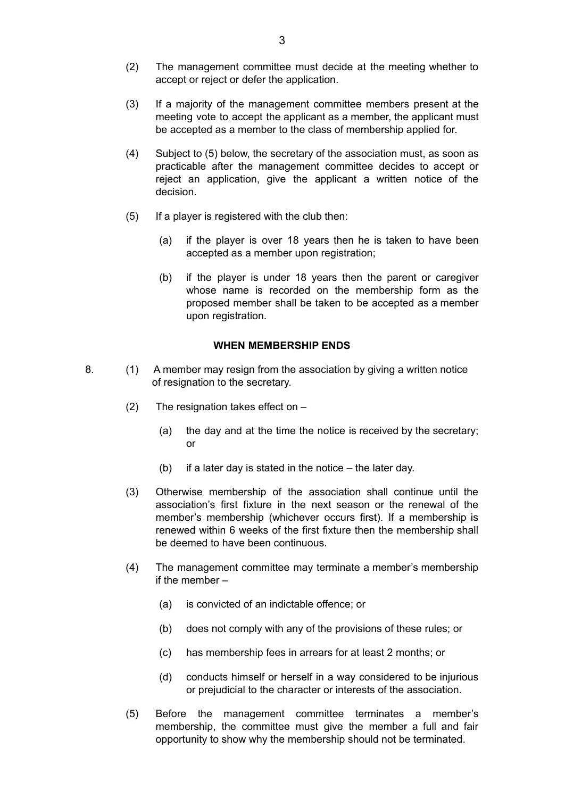- (2) The management committee must decide at the meeting whether to accept or reject or defer the application.
- (3) If a majority of the management committee members present at the meeting vote to accept the applicant as a member, the applicant must be accepted as a member to the class of membership applied for.
- (4) Subject to (5) below, the secretary of the association must, as soon as practicable after the management committee decides to accept or reject an application, give the applicant a written notice of the decision.
- (5) If a player is registered with the club then:
	- (a) if the player is over 18 years then he is taken to have been accepted as a member upon registration;
	- (b) if the player is under 18 years then the parent or caregiver whose name is recorded on the membership form as the proposed member shall be taken to be accepted as a member upon registration.

#### **WHEN MEMBERSHIP ENDS**

- 8. (1) A member may resign from the association by giving a written notice of resignation to the secretary.
	- (2) The resignation takes effect on
		- (a) the day and at the time the notice is received by the secretary; or
		- (b) if a later day is stated in the notice the later day.
	- (3) Otherwise membership of the association shall continue until the association's first fixture in the next season or the renewal of the member's membership (whichever occurs first). If a membership is renewed within 6 weeks of the first fixture then the membership shall be deemed to have been continuous.
	- (4) The management committee may terminate a member's membership if the member –
		- (a) is convicted of an indictable offence; or
		- (b) does not comply with any of the provisions of these rules; or
		- (c) has membership fees in arrears for at least 2 months; or
		- (d) conducts himself or herself in a way considered to be injurious or prejudicial to the character or interests of the association.
	- (5) Before the management committee terminates a member's membership, the committee must give the member a full and fair opportunity to show why the membership should not be terminated.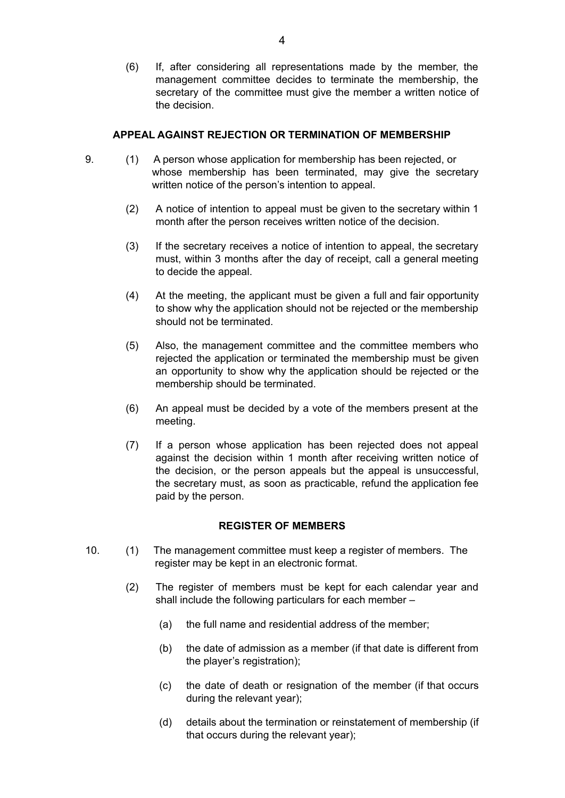(6) If, after considering all representations made by the member, the management committee decides to terminate the membership, the secretary of the committee must give the member a written notice of the decision.

## **APPEAL AGAINST REJECTION OR TERMINATION OF MEMBERSHIP**

- 9. (1) A person whose application for membership has been rejected, or whose membership has been terminated, may give the secretary written notice of the person's intention to appeal.
	- (2) A notice of intention to appeal must be given to the secretary within 1 month after the person receives written notice of the decision.
	- (3) If the secretary receives a notice of intention to appeal, the secretary must, within 3 months after the day of receipt, call a general meeting to decide the appeal.
	- (4) At the meeting, the applicant must be given a full and fair opportunity to show why the application should not be rejected or the membership should not be terminated.
	- (5) Also, the management committee and the committee members who rejected the application or terminated the membership must be given an opportunity to show why the application should be rejected or the membership should be terminated.
	- (6) An appeal must be decided by a vote of the members present at the meeting.
	- (7) If a person whose application has been rejected does not appeal against the decision within 1 month after receiving written notice of the decision, or the person appeals but the appeal is unsuccessful, the secretary must, as soon as practicable, refund the application fee paid by the person.

### **REGISTER OF MEMBERS**

- 10. (1) The management committee must keep a register of members. The register may be kept in an electronic format.
	- (2) The register of members must be kept for each calendar year and shall include the following particulars for each member –
		- (a) the full name and residential address of the member;
		- (b) the date of admission as a member (if that date is different from the player's registration);
		- (c) the date of death or resignation of the member (if that occurs during the relevant year);
		- (d) details about the termination or reinstatement of membership (if that occurs during the relevant year);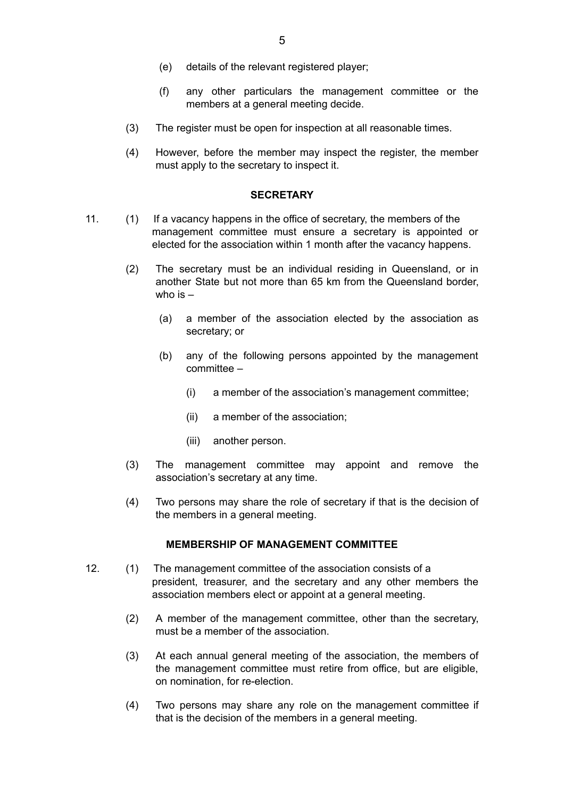- (e) details of the relevant registered player;
- (f) any other particulars the management committee or the members at a general meeting decide.
- (3) The register must be open for inspection at all reasonable times.
- (4) However, before the member may inspect the register, the member must apply to the secretary to inspect it.

#### **SECRETARY**

- 11. (1) If a vacancy happens in the office of secretary, the members of the management committee must ensure a secretary is appointed or elected for the association within 1 month after the vacancy happens.
	- (2) The secretary must be an individual residing in Queensland, or in another State but not more than 65 km from the Queensland border, who is  $-$ 
		- (a) a member of the association elected by the association as secretary; or
		- (b) any of the following persons appointed by the management committee –
			- (i) a member of the association's management committee;
			- (ii) a member of the association;
			- (iii) another person.
	- (3) The management committee may appoint and remove the association's secretary at any time.
	- (4) Two persons may share the role of secretary if that is the decision of the members in a general meeting.

#### **MEMBERSHIP OF MANAGEMENT COMMITTEE**

- 12. (1) The management committee of the association consists of a president, treasurer, and the secretary and any other members the association members elect or appoint at a general meeting.
	- (2) A member of the management committee, other than the secretary, must be a member of the association.
	- (3) At each annual general meeting of the association, the members of the management committee must retire from office, but are eligible, on nomination, for re-election.
	- (4) Two persons may share any role on the management committee if that is the decision of the members in a general meeting.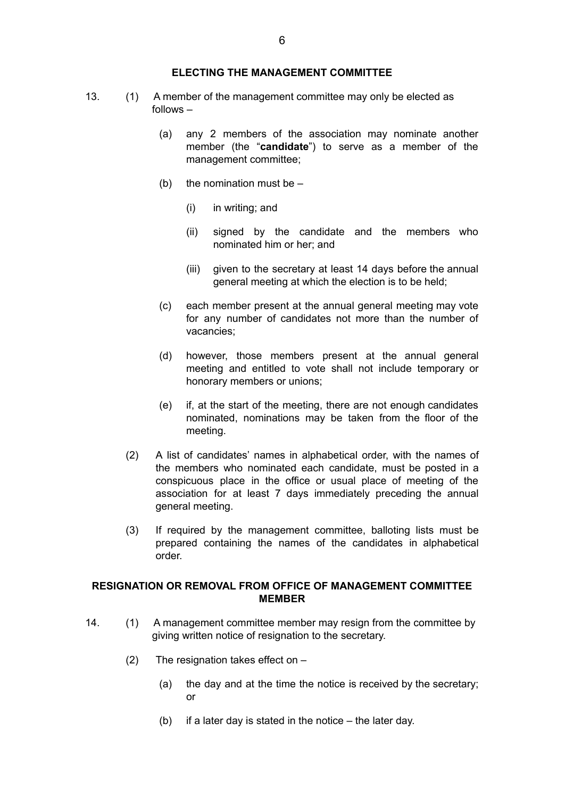- 13. (1) A member of the management committee may only be elected as follows –
	- (a) any 2 members of the association may nominate another member (the "**candidate**") to serve as a member of the management committee;
	- (b) the nomination must be  $-$ 
		- (i) in writing; and
		- (ii) signed by the candidate and the members who nominated him or her; and
		- (iii) given to the secretary at least 14 days before the annual general meeting at which the election is to be held;
	- (c) each member present at the annual general meeting may vote for any number of candidates not more than the number of vacancies;
	- (d) however, those members present at the annual general meeting and entitled to vote shall not include temporary or honorary members or unions;
	- (e) if, at the start of the meeting, there are not enough candidates nominated, nominations may be taken from the floor of the meeting.
	- (2) A list of candidates' names in alphabetical order, with the names of the members who nominated each candidate, must be posted in a conspicuous place in the office or usual place of meeting of the association for at least 7 days immediately preceding the annual general meeting.
	- (3) If required by the management committee, balloting lists must be prepared containing the names of the candidates in alphabetical order.

## **RESIGNATION OR REMOVAL FROM OFFICE OF MANAGEMENT COMMITTEE MEMBER**

- 14. (1) A management committee member may resign from the committee by giving written notice of resignation to the secretary.
	- (2) The resignation takes effect on
		- (a) the day and at the time the notice is received by the secretary; or
		- (b) if a later day is stated in the notice the later day.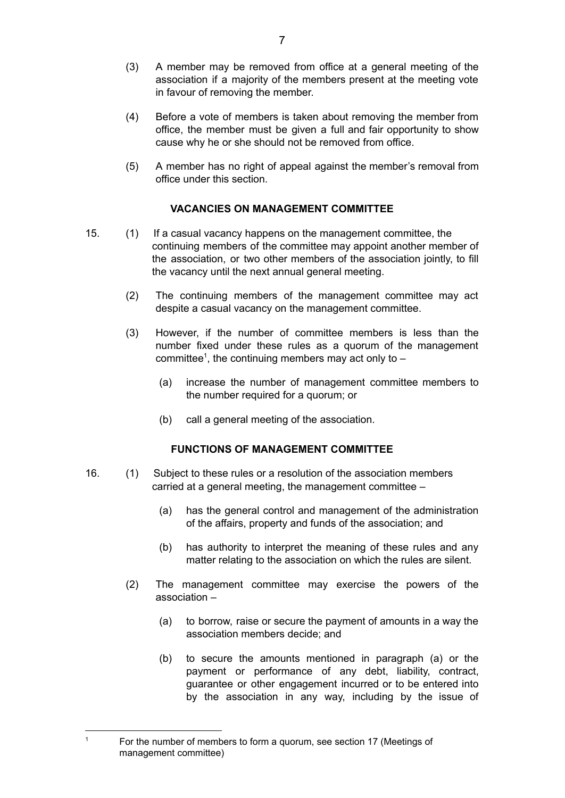- (3) A member may be removed from office at a general meeting of the association if a majority of the members present at the meeting vote in favour of removing the member.
- (4) Before a vote of members is taken about removing the member from office, the member must be given a full and fair opportunity to show cause why he or she should not be removed from office.
- (5) A member has no right of appeal against the member's removal from office under this section.

## **VACANCIES ON MANAGEMENT COMMITTEE**

- 15. (1) If a casual vacancy happens on the management committee, the continuing members of the committee may appoint another member of the association, or two other members of the association jointly, to fill the vacancy until the next annual general meeting.
	- (2) The continuing members of the management committee may act despite a casual vacancy on the management committee.
	- (3) However, if the number of committee members is less than the number fixed under these rules as a quorum of the management committee<sup>1</sup>, the continuing members may act only to  $-$ 
		- (a) increase the number of management committee members to the number required for a quorum; or
		- (b) call a general meeting of the association.

## **FUNCTIONS OF MANAGEMENT COMMITTEE**

- 16. (1) Subject to these rules or a resolution of the association members carried at a general meeting, the management committee –
	- (a) has the general control and management of the administration of the affairs, property and funds of the association; and
	- (b) has authority to interpret the meaning of these rules and any matter relating to the association on which the rules are silent.
	- (2) The management committee may exercise the powers of the association –
		- (a) to borrow, raise or secure the payment of amounts in a way the association members decide; and
		- (b) to secure the amounts mentioned in paragraph (a) or the payment or performance of any debt, liability, contract, guarantee or other engagement incurred or to be entered into by the association in any way, including by the issue of

<sup>&</sup>lt;sup>1</sup> For the number of members to form a quorum, see section 17 (Meetings of management committee)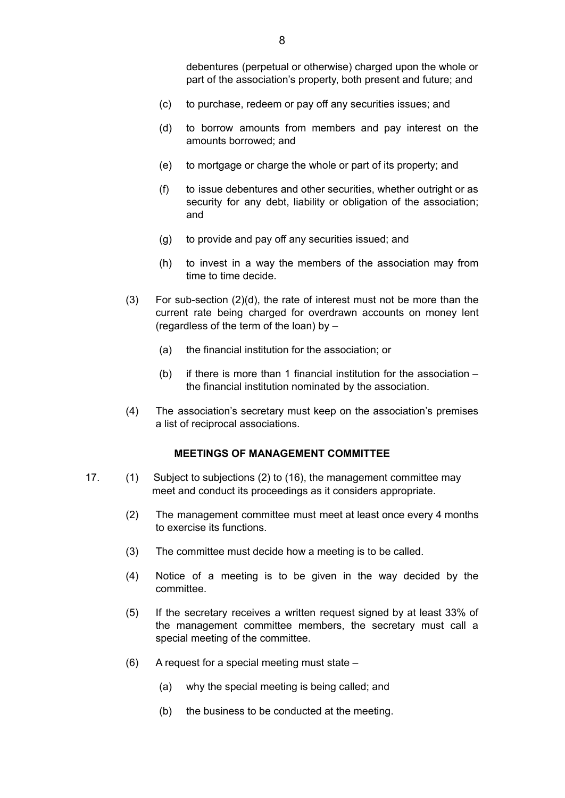debentures (perpetual or otherwise) charged upon the whole or part of the association's property, both present and future; and

- (c) to purchase, redeem or pay off any securities issues; and
- (d) to borrow amounts from members and pay interest on the amounts borrowed; and
- (e) to mortgage or charge the whole or part of its property; and
- (f) to issue debentures and other securities, whether outright or as security for any debt, liability or obligation of the association; and
- (g) to provide and pay off any securities issued; and
- (h) to invest in a way the members of the association may from time to time decide.
- (3) For sub-section (2)(d), the rate of interest must not be more than the current rate being charged for overdrawn accounts on money lent (regardless of the term of the loan) by –
	- (a) the financial institution for the association; or
	- (b) if there is more than 1 financial institution for the association the financial institution nominated by the association.
- (4) The association's secretary must keep on the association's premises a list of reciprocal associations.

## **MEETINGS OF MANAGEMENT COMMITTEE**

- 17. (1) Subject to subjections (2) to (16), the management committee may meet and conduct its proceedings as it considers appropriate.
	- (2) The management committee must meet at least once every 4 months to exercise its functions.
	- (3) The committee must decide how a meeting is to be called.
	- (4) Notice of a meeting is to be given in the way decided by the committee.
	- (5) If the secretary receives a written request signed by at least 33% of the management committee members, the secretary must call a special meeting of the committee.
	- (6) A request for a special meeting must state
		- (a) why the special meeting is being called; and
		- (b) the business to be conducted at the meeting.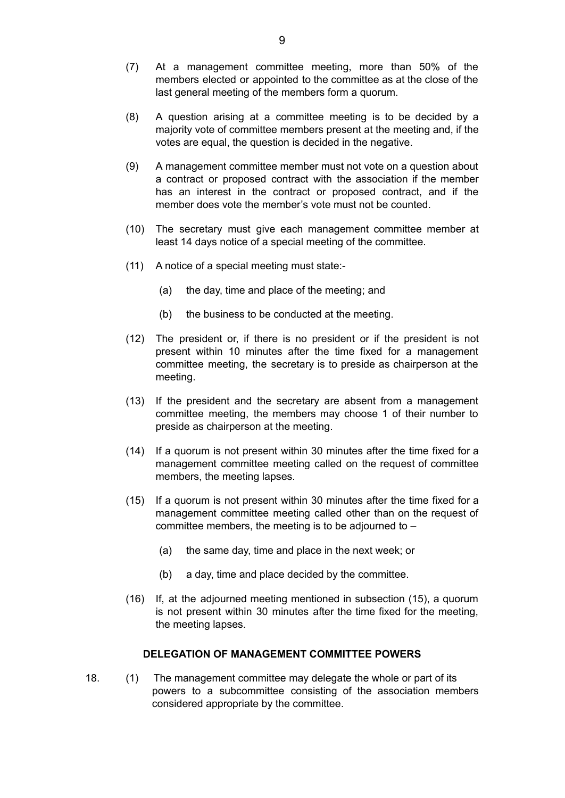- (7) At a management committee meeting, more than 50% of the members elected or appointed to the committee as at the close of the last general meeting of the members form a quorum.
- (8) A question arising at a committee meeting is to be decided by a majority vote of committee members present at the meeting and, if the votes are equal, the question is decided in the negative.
- (9) A management committee member must not vote on a question about a contract or proposed contract with the association if the member has an interest in the contract or proposed contract, and if the member does vote the member's vote must not be counted.
- (10) The secretary must give each management committee member at least 14 days notice of a special meeting of the committee.
- (11) A notice of a special meeting must state:-
	- (a) the day, time and place of the meeting; and
	- (b) the business to be conducted at the meeting.
- (12) The president or, if there is no president or if the president is not present within 10 minutes after the time fixed for a management committee meeting, the secretary is to preside as chairperson at the meeting.
- (13) If the president and the secretary are absent from a management committee meeting, the members may choose 1 of their number to preside as chairperson at the meeting.
- (14) If a quorum is not present within 30 minutes after the time fixed for a management committee meeting called on the request of committee members, the meeting lapses.
- (15) If a quorum is not present within 30 minutes after the time fixed for a management committee meeting called other than on the request of committee members, the meeting is to be adjourned to –
	- (a) the same day, time and place in the next week; or
	- (b) a day, time and place decided by the committee.
- (16) If, at the adjourned meeting mentioned in subsection (15), a quorum is not present within 30 minutes after the time fixed for the meeting, the meeting lapses.

#### **DELEGATION OF MANAGEMENT COMMITTEE POWERS**

18. (1) The management committee may delegate the whole or part of its powers to a subcommittee consisting of the association members considered appropriate by the committee.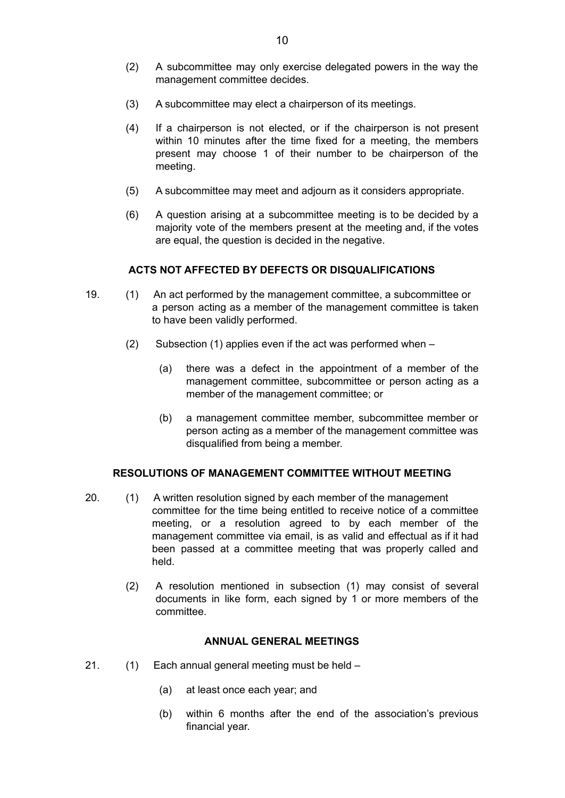- (2) A subcommittee may only exercise delegated powers in the way the management committee decides.
- (3) A subcommittee may elect a chairperson of its meetings.
- (4) If a chairperson is not elected, or if the chairperson is not present within 10 minutes after the time fixed for a meeting, the members present may choose 1 of their number to be chairperson of the meeting.
- (5) A subcommittee may meet and adjourn as it considers appropriate.
- (6) A question arising at a subcommittee meeting is to be decided by a majority vote of the members present at the meeting and, if the votes are equal, the question is decided in the negative.

## **ACTS NOT AFFECTED BY DEFECTS OR DISQUALIFICATIONS**

- 19. (1) An act performed by the management committee, a subcommittee or a person acting as a member of the management committee is taken to have been validly performed.
	- (2) Subsection (1) applies even if the act was performed when
		- (a) there was a defect in the appointment of a member of the management committee, subcommittee or person acting as a member of the management committee; or
		- (b) a management committee member, subcommittee member or person acting as a member of the management committee was disqualified from being a member.

## **RESOLUTIONS OF MANAGEMENT COMMITTEE WITHOUT MEETING**

- 20. (1) A written resolution signed by each member of the management committee for the time being entitled to receive notice of a committee meeting, or a resolution agreed to by each member of the management committee via email, is as valid and effectual as if it had been passed at a committee meeting that was properly called and held.
	- (2) A resolution mentioned in subsection (1) may consist of several documents in like form, each signed by 1 or more members of the committee.

### **ANNUAL GENERAL MEETINGS**

- 21. (1) Each annual general meeting must be held
	- (a) at least once each year; and
	- (b) within 6 months after the end of the association's previous financial year.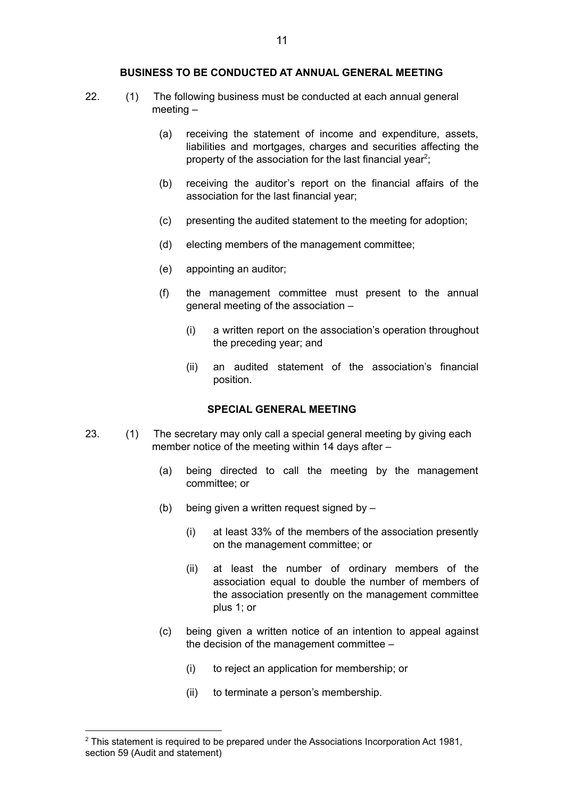#### **BUSINESS TO BE CONDUCTED AT ANNUAL GENERAL MEETING**

- 22. (1) The following business must be conducted at each annual general meeting –
	- (a) receiving the statement of income and expenditure, assets, liabilities and mortgages, charges and securities affecting the property of the association for the last financial year<sup>2</sup>;
	- (b) receiving the auditor's report on the financial affairs of the association for the last financial year;
	- (c) presenting the audited statement to the meeting for adoption;
	- (d) electing members of the management committee;
	- (e) appointing an auditor;
	- (f) the management committee must present to the annual general meeting of the association –
		- (i) a written report on the association's operation throughout the preceding year; and
		- (ii) an audited statement of the association's financial position.

### **SPECIAL GENERAL MEETING**

- 23. (1) The secretary may only call a special general meeting by giving each member notice of the meeting within 14 days after –
	- (a) being directed to call the meeting by the management committee; or
	- (b) being given a written request signed by
		- (i) at least 33% of the members of the association presently on the management committee; or
		- (ii) at least the number of ordinary members of the association equal to double the number of members of the association presently on the management committee plus 1; or
	- (c) being given a written notice of an intention to appeal against the decision of the management committee –
		- (i) to reject an application for membership; or
		- (ii) to terminate a person's membership.

 $2$  This statement is required to be prepared under the Associations Incorporation Act 1981, section 59 (Audit and statement)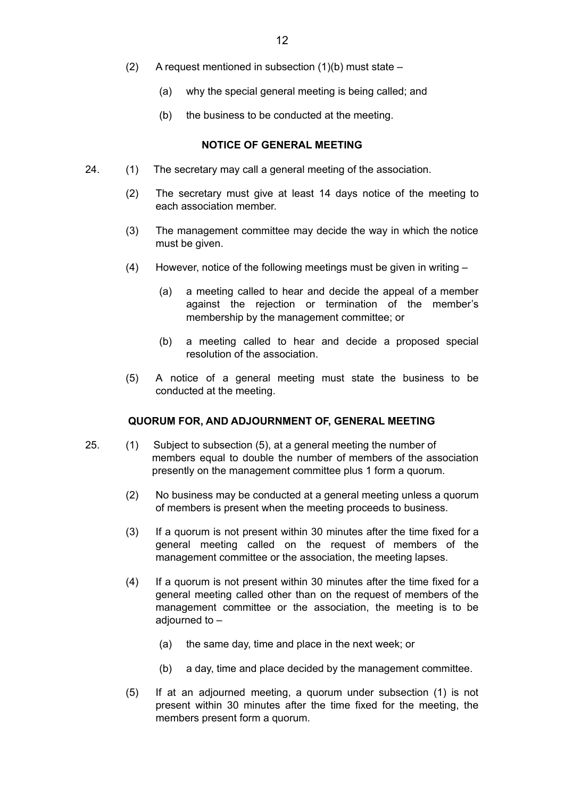- (2) A request mentioned in subsection  $(1)(b)$  must state
	- (a) why the special general meeting is being called; and
	- (b) the business to be conducted at the meeting.

#### **NOTICE OF GENERAL MEETING**

- 24. (1) The secretary may call a general meeting of the association.
	- (2) The secretary must give at least 14 days notice of the meeting to each association member.
	- (3) The management committee may decide the way in which the notice must be given.
	- (4) However, notice of the following meetings must be given in writing
		- (a) a meeting called to hear and decide the appeal of a member against the rejection or termination of the member's membership by the management committee; or
		- (b) a meeting called to hear and decide a proposed special resolution of the association.
	- (5) A notice of a general meeting must state the business to be conducted at the meeting.

## **QUORUM FOR, AND ADJOURNMENT OF, GENERAL MEETING**

- 25. (1) Subject to subsection (5), at a general meeting the number of members equal to double the number of members of the association presently on the management committee plus 1 form a quorum.
	- (2) No business may be conducted at a general meeting unless a quorum of members is present when the meeting proceeds to business.
	- (3) If a quorum is not present within 30 minutes after the time fixed for a general meeting called on the request of members of the management committee or the association, the meeting lapses.
	- (4) If a quorum is not present within 30 minutes after the time fixed for a general meeting called other than on the request of members of the management committee or the association, the meeting is to be adjourned to –
		- (a) the same day, time and place in the next week; or
		- (b) a day, time and place decided by the management committee.
	- (5) If at an adjourned meeting, a quorum under subsection (1) is not present within 30 minutes after the time fixed for the meeting, the members present form a quorum.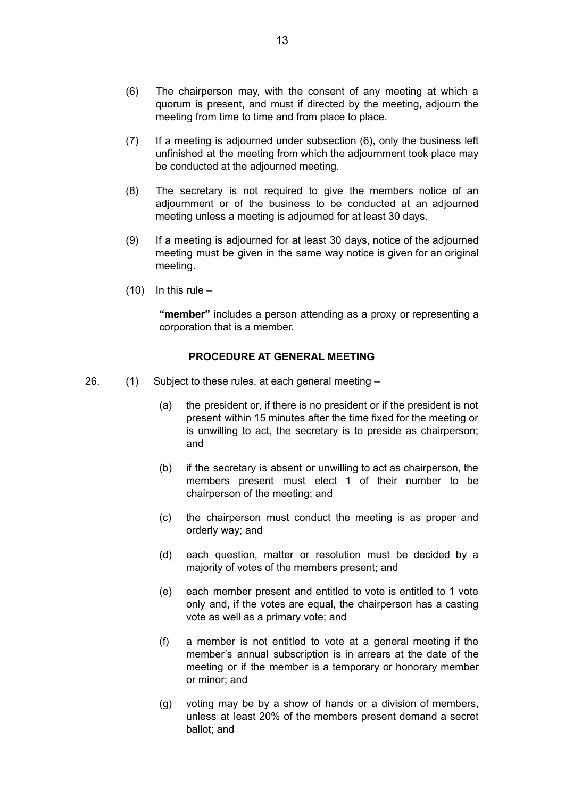- (6) The chairperson may, with the consent of any meeting at which a quorum is present, and must if directed by the meeting, adjourn the meeting from time to time and from place to place.
- (7) If a meeting is adjourned under subsection (6), only the business left unfinished at the meeting from which the adjournment took place may be conducted at the adjourned meeting.
- (8) The secretary is not required to give the members notice of an adjournment or of the business to be conducted at an adjourned meeting unless a meeting is adjourned for at least 30 days.
- (9) If a meeting is adjourned for at least 30 days, notice of the adjourned meeting must be given in the same way notice is given for an original meeting.
- $(10)$  In this rule –

**"member"** includes a person attending as a proxy or representing a corporation that is a member.

### **PROCEDURE AT GENERAL MEETING**

- 26. (1) Subject to these rules, at each general meeting
	- (a) the president or, if there is no president or if the president is not present within 15 minutes after the time fixed for the meeting or is unwilling to act, the secretary is to preside as chairperson; and
	- (b) if the secretary is absent or unwilling to act as chairperson, the members present must elect 1 of their number to be chairperson of the meeting; and
	- (c) the chairperson must conduct the meeting is as proper and orderly way; and
	- (d) each question, matter or resolution must be decided by a majority of votes of the members present; and
	- (e) each member present and entitled to vote is entitled to 1 vote only and, if the votes are equal, the chairperson has a casting vote as well as a primary vote; and
	- (f) a member is not entitled to vote at a general meeting if the member's annual subscription is in arrears at the date of the meeting or if the member is a temporary or honorary member or minor; and
	- (g) voting may be by a show of hands or a division of members, unless at least 20% of the members present demand a secret ballot; and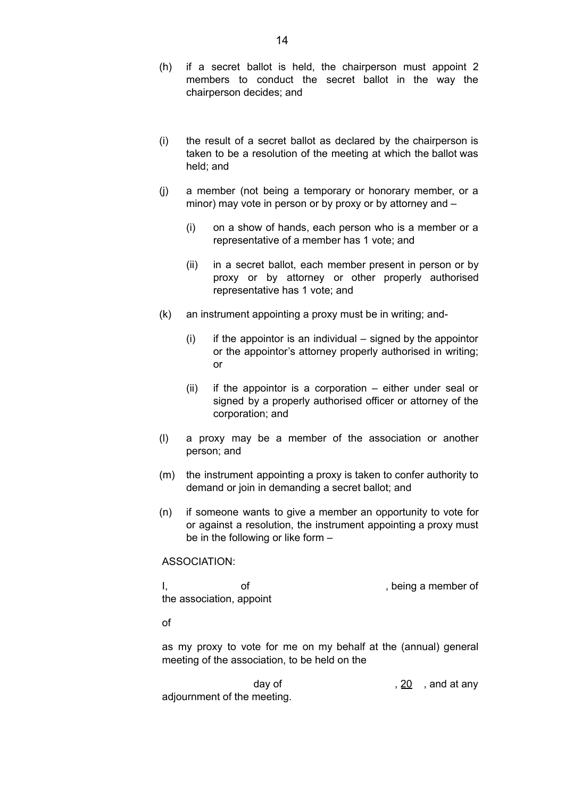- (h) if a secret ballot is held, the chairperson must appoint 2 members to conduct the secret ballot in the way the chairperson decides; and
- (i) the result of a secret ballot as declared by the chairperson is taken to be a resolution of the meeting at which the ballot was held; and
- (j) a member (not being a temporary or honorary member, or a minor) may vote in person or by proxy or by attorney and –
	- (i) on a show of hands, each person who is a member or a representative of a member has 1 vote; and
	- (ii) in a secret ballot, each member present in person or by proxy or by attorney or other properly authorised representative has 1 vote; and
- (k) an instrument appointing a proxy must be in writing; and-
	- $(i)$  if the appointor is an individual signed by the appointor or the appointor's attorney properly authorised in writing; or
	- (ii) if the appointor is a corporation either under seal or signed by a properly authorised officer or attorney of the corporation; and
- (l) a proxy may be a member of the association or another person; and
- (m) the instrument appointing a proxy is taken to confer authority to demand or join in demanding a secret ballot; and
- (n) if someone wants to give a member an opportunity to vote for or against a resolution, the instrument appointing a proxy must be in the following or like form –

ASSOCIATION:

I, of of the state of the state of  $\sim$ the association, appoint

of

as my proxy to vote for me on my behalf at the (annual) general meeting of the association, to be held on the

day of  $, 20$ , and at any adjournment of the meeting.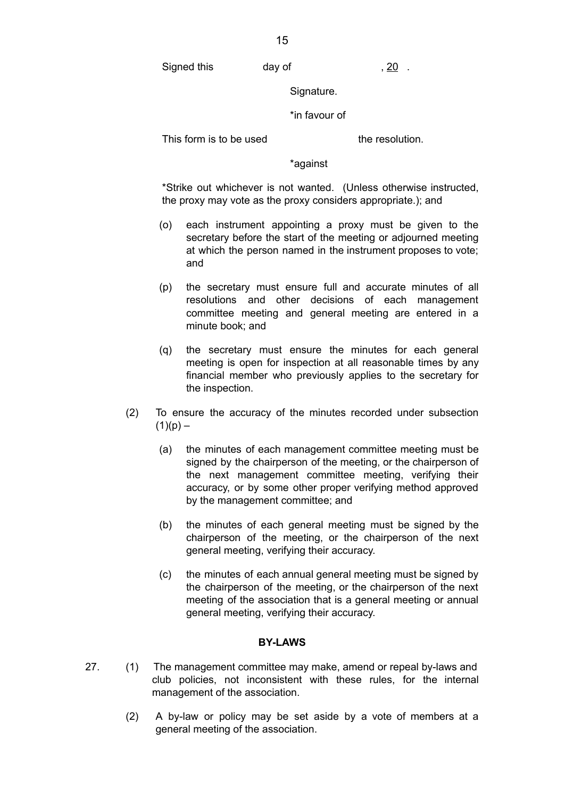Signed this day of , 20 .

Signature.

\*in favour of

This form is to be used the resolution.

\*against

\*Strike out whichever is not wanted. (Unless otherwise instructed, the proxy may vote as the proxy considers appropriate.); and

- (o) each instrument appointing a proxy must be given to the secretary before the start of the meeting or adjourned meeting at which the person named in the instrument proposes to vote; and
- (p) the secretary must ensure full and accurate minutes of all resolutions and other decisions of each management committee meeting and general meeting are entered in a minute book; and
- (q) the secretary must ensure the minutes for each general meeting is open for inspection at all reasonable times by any financial member who previously applies to the secretary for the inspection.
- (2) To ensure the accuracy of the minutes recorded under subsection  $(1)(p) -$ 
	- (a) the minutes of each management committee meeting must be signed by the chairperson of the meeting, or the chairperson of the next management committee meeting, verifying their accuracy, or by some other proper verifying method approved by the management committee; and
	- (b) the minutes of each general meeting must be signed by the chairperson of the meeting, or the chairperson of the next general meeting, verifying their accuracy.
	- (c) the minutes of each annual general meeting must be signed by the chairperson of the meeting, or the chairperson of the next meeting of the association that is a general meeting or annual general meeting, verifying their accuracy.

## **BY-LAWS**

- 27. (1) The management committee may make, amend or repeal by-laws and club policies, not inconsistent with these rules, for the internal management of the association.
	- (2) A by-law or policy may be set aside by a vote of members at a general meeting of the association.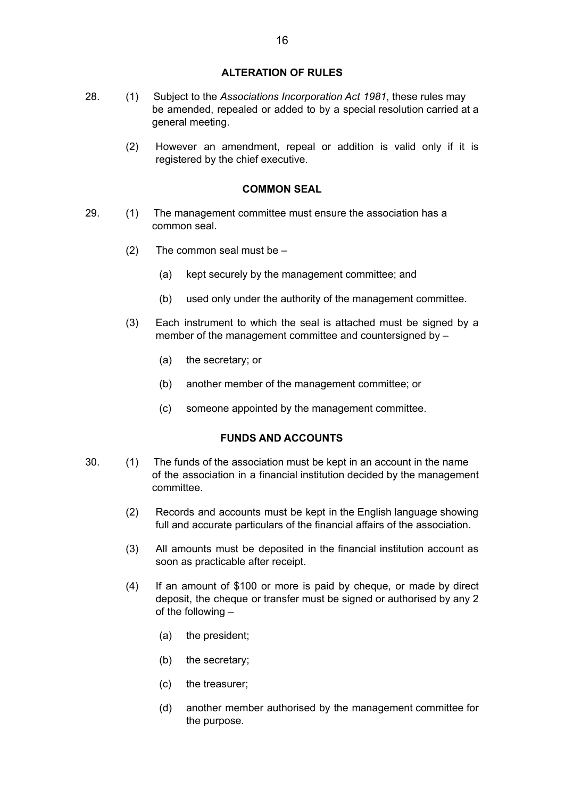### **ALTERATION OF RULES**

- 28. (1) Subject to the *Associations Incorporation Act 1981*, these rules may be amended, repealed or added to by a special resolution carried at a general meeting.
	- (2) However an amendment, repeal or addition is valid only if it is registered by the chief executive.

## **COMMON SEAL**

- 29. (1) The management committee must ensure the association has a common seal.
	- (2) The common seal must be
		- (a) kept securely by the management committee; and
		- (b) used only under the authority of the management committee.
	- (3) Each instrument to which the seal is attached must be signed by a member of the management committee and countersigned by –
		- (a) the secretary; or
		- (b) another member of the management committee; or
		- (c) someone appointed by the management committee.

## **FUNDS AND ACCOUNTS**

- 30. (1) The funds of the association must be kept in an account in the name of the association in a financial institution decided by the management committee.
	- (2) Records and accounts must be kept in the English language showing full and accurate particulars of the financial affairs of the association.
	- (3) All amounts must be deposited in the financial institution account as soon as practicable after receipt.
	- (4) If an amount of \$100 or more is paid by cheque, or made by direct deposit, the cheque or transfer must be signed or authorised by any 2 of the following –
		- (a) the president;
		- (b) the secretary;
		- (c) the treasurer;
		- (d) another member authorised by the management committee for the purpose.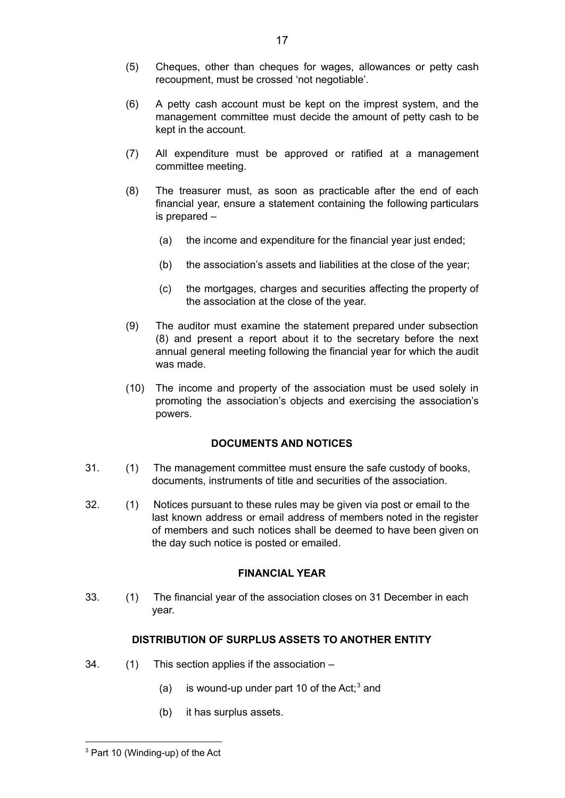- (5) Cheques, other than cheques for wages, allowances or petty cash recoupment, must be crossed 'not negotiable'.
- (6) A petty cash account must be kept on the imprest system, and the management committee must decide the amount of petty cash to be kept in the account.
- (7) All expenditure must be approved or ratified at a management committee meeting.
- (8) The treasurer must, as soon as practicable after the end of each financial year, ensure a statement containing the following particulars is prepared –
	- (a) the income and expenditure for the financial year just ended;
	- (b) the association's assets and liabilities at the close of the year;
	- (c) the mortgages, charges and securities affecting the property of the association at the close of the year.
- (9) The auditor must examine the statement prepared under subsection (8) and present a report about it to the secretary before the next annual general meeting following the financial year for which the audit was made.
- (10) The income and property of the association must be used solely in promoting the association's objects and exercising the association's powers.

### **DOCUMENTS AND NOTICES**

- 31. (1) The management committee must ensure the safe custody of books, documents, instruments of title and securities of the association.
- 32. (1) Notices pursuant to these rules may be given via post or email to the last known address or email address of members noted in the register of members and such notices shall be deemed to have been given on the day such notice is posted or emailed.

### **FINANCIAL YEAR**

33. (1) The financial year of the association closes on 31 December in each year.

## **DISTRIBUTION OF SURPLUS ASSETS TO ANOTHER ENTITY**

- 34. (1) This section applies if the association
	- (a) is wound-up under part 10 of the Act; $3$  and
	- (b) it has surplus assets.

<sup>3</sup> Part 10 (Winding-up) of the Act